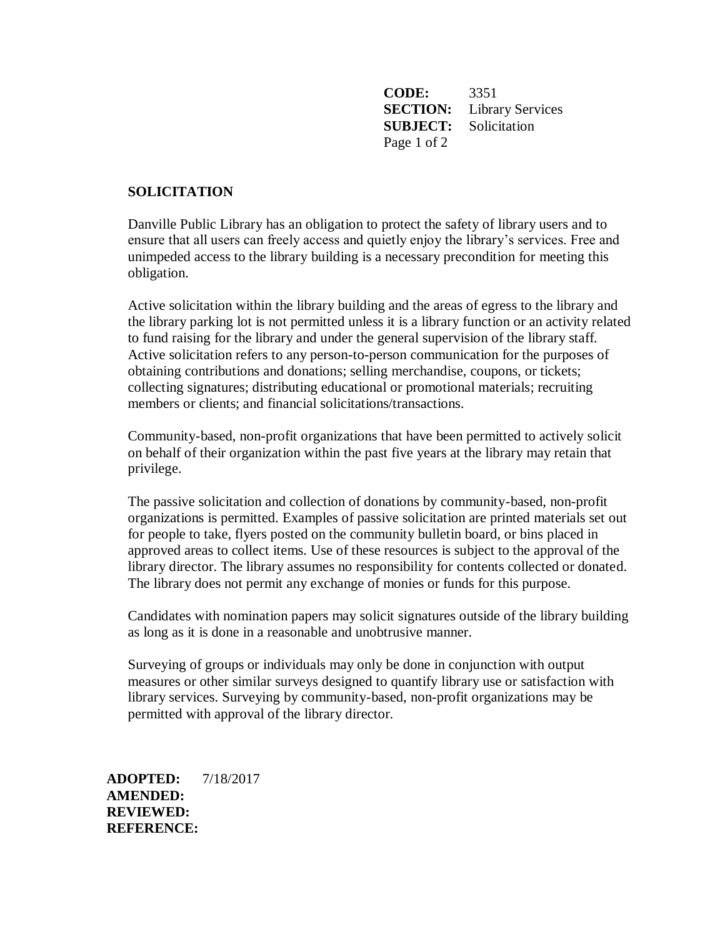**CODE:** 3351 **SECTION:** Library Services **SUBJECT:** Solicitation Page 1 of 2

## **SOLICITATION**

Danville Public Library has an obligation to protect the safety of library users and to ensure that all users can freely access and quietly enjoy the library's services. Free and unimpeded access to the library building is a necessary precondition for meeting this obligation.

Active solicitation within the library building and the areas of egress to the library and the library parking lot is not permitted unless it is a library function or an activity related to fund raising for the library and under the general supervision of the library staff. Active solicitation refers to any person-to-person communication for the purposes of obtaining contributions and donations; selling merchandise, coupons, or tickets; collecting signatures; distributing educational or promotional materials; recruiting members or clients; and financial solicitations/transactions.

Community-based, non-profit organizations that have been permitted to actively solicit on behalf of their organization within the past five years at the library may retain that privilege.

The passive solicitation and collection of donations by community-based, non-profit organizations is permitted. Examples of passive solicitation are printed materials set out for people to take, flyers posted on the community bulletin board, or bins placed in approved areas to collect items. Use of these resources is subject to the approval of the library director. The library assumes no responsibility for contents collected or donated. The library does not permit any exchange of monies or funds for this purpose.

Candidates with nomination papers may solicit signatures outside of the library building as long as it is done in a reasonable and unobtrusive manner.

Surveying of groups or individuals may only be done in conjunction with output measures or other similar surveys designed to quantify library use or satisfaction with library services. Surveying by community-based, non-profit organizations may be permitted with approval of the library director.

**ADOPTED:** 7/18/2017 **AMENDED: REVIEWED: REFERENCE:**